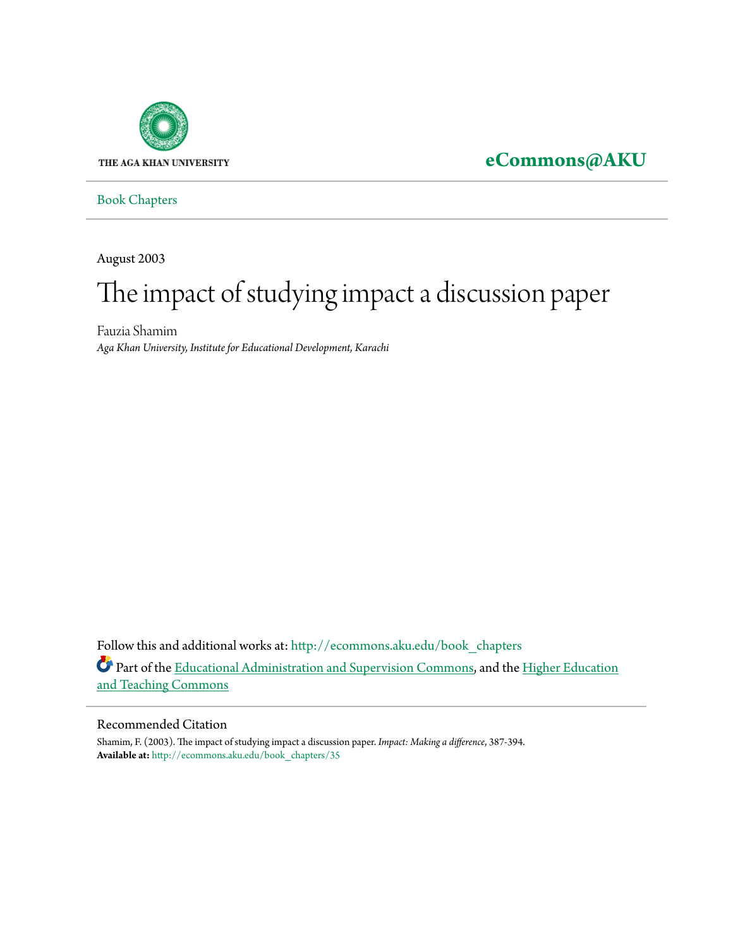

# **[eCommons@AKU](http://ecommons.aku.edu?utm_source=ecommons.aku.edu%2Fbook_chapters%2F35&utm_medium=PDF&utm_campaign=PDFCoverPages)**

[Book Chapters](http://ecommons.aku.edu/book_chapters?utm_source=ecommons.aku.edu%2Fbook_chapters%2F35&utm_medium=PDF&utm_campaign=PDFCoverPages)

August 2003

# The impact of studying impact a discussion paper

Fauzia Shamim *Aga Khan University, Institute for Educational Development, Karachi*

Follow this and additional works at: [http://ecommons.aku.edu/book\\_chapters](http://ecommons.aku.edu/book_chapters?utm_source=ecommons.aku.edu%2Fbook_chapters%2F35&utm_medium=PDF&utm_campaign=PDFCoverPages) Part of the [Educational Administration and Supervision Commons,](http://network.bepress.com/hgg/discipline/787?utm_source=ecommons.aku.edu%2Fbook_chapters%2F35&utm_medium=PDF&utm_campaign=PDFCoverPages) and the [Higher Education](http://network.bepress.com/hgg/discipline/806?utm_source=ecommons.aku.edu%2Fbook_chapters%2F35&utm_medium=PDF&utm_campaign=PDFCoverPages) [and Teaching Commons](http://network.bepress.com/hgg/discipline/806?utm_source=ecommons.aku.edu%2Fbook_chapters%2F35&utm_medium=PDF&utm_campaign=PDFCoverPages)

#### Recommended Citation

Shamim, F. (2003). The impact of studying impact a discussion paper. *Impact: Making a difference*, 387-394. **Available at:** [http://ecommons.aku.edu/book\\_chapters/35](http://ecommons.aku.edu/book_chapters/35)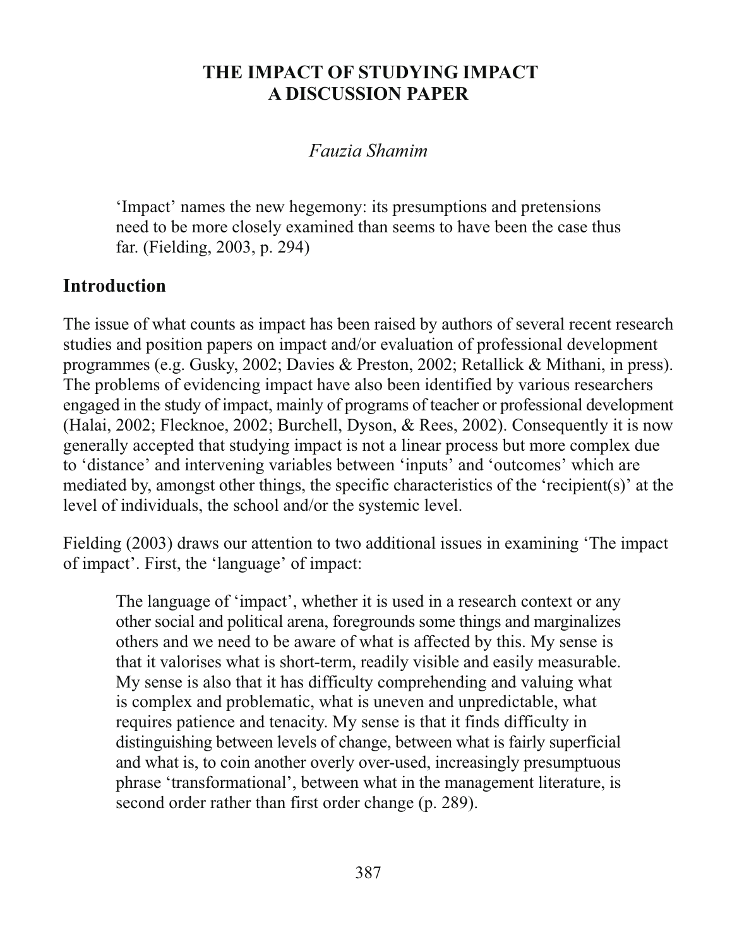# THE IMPACT OF STUDYING IMPACT **A DISCUSSION PAPER**

#### Fauzia Shamim

'Impact' names the new hegemony: its presumptions and pretensions need to be more closely examined than seems to have been the case thus far. (Fielding, 2003, p. 294)

# **Introduction**

The issue of what counts as impact has been raised by authors of several recent research studies and position papers on impact and/or evaluation of professional development programmes (e.g. Gusky, 2002; Davies & Preston, 2002; Retallick & Mithani, in press). The problems of evidencing impact have also been identified by various researchers engaged in the study of impact, mainly of programs of teacher or professional development (Halai, 2002; Flecknoe, 2002; Burchell, Dyson, & Rees, 2002). Consequently it is now generally accepted that studying impact is not a linear process but more complex due to 'distance' and intervening variables between 'inputs' and 'outcomes' which are mediated by, amongst other things, the specific characteristics of the 'recipient(s)' at the level of individuals, the school and/or the systemic level.

Fielding (2003) draws our attention to two additional issues in examining 'The impact of impact'. First, the 'language' of impact:

The language of 'impact', whether it is used in a research context or any other social and political arena, foregrounds some things and marginalizes others and we need to be aware of what is affected by this. My sense is that it valorises what is short-term, readily visible and easily measurable. My sense is also that it has difficulty comprehending and valuing what is complex and problematic, what is uneven and unpredictable, what requires patience and tenacity. My sense is that it finds difficulty in distinguishing between levels of change, between what is fairly superficial and what is, to coin another overly over-used, increasingly presumptuous phrase 'transformational', between what in the management literature, is second order rather than first order change (p. 289).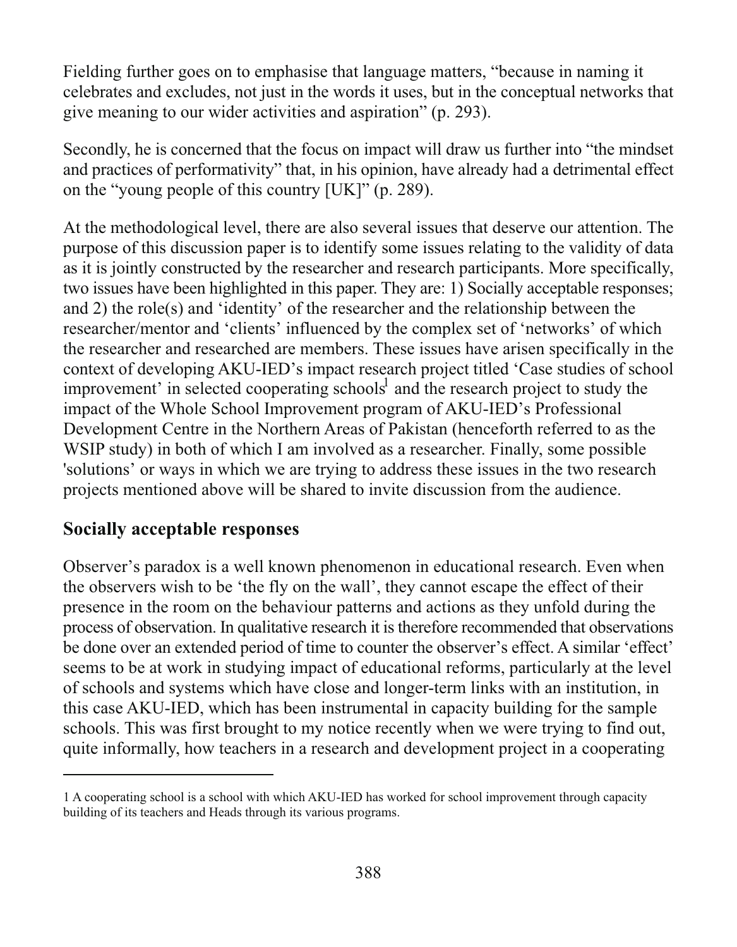Fielding further goes on to emphasise that language matters, "because in naming it celebrates and excludes, not just in the words it uses, but in the conceptual networks that give meaning to our wider activities and aspiration" (p. 293).

Secondly, he is concerned that the focus on impact will draw us further into "the mindset" and practices of performativity" that, in his opinion, have already had a detrimental effect on the "young people of this country [UK]" (p. 289).

At the methodological level, there are also several issues that deserve our attention. The purpose of this discussion paper is to identify some issues relating to the validity of data as it is jointly constructed by the researcher and research participants. More specifically, two issues have been highlighted in this paper. They are: 1) Socially acceptable responses; and 2) the role(s) and 'identity' of the researcher and the relationship between the researcher/mentor and 'clients' influenced by the complex set of 'networks' of which the researcher and researched are members. These issues have arisen specifically in the context of developing AKU-IED's impact research project titled 'Case studies of school improvement' in selected cooperating schools<sup>1</sup> and the research project to study the impact of the Whole School Improvement program of AKU-IED's Professional Development Centre in the Northern Areas of Pakistan (henceforth referred to as the WSIP study) in both of which I am involved as a researcher. Finally, some possible 'solutions' or ways in which we are trying to address these issues in the two research projects mentioned above will be shared to invite discussion from the audience.

#### **Socially acceptable responses**

Observer's paradox is a well known phenomenon in educational research. Even when the observers wish to be 'the fly on the wall', they cannot escape the effect of their presence in the room on the behaviour patterns and actions as they unfold during the process of observation. In qualitative research it is therefore recommended that observations be done over an extended period of time to counter the observer's effect. A similar 'effect' seems to be at work in studying impact of educational reforms, particularly at the level of schools and systems which have close and longer-term links with an institution, in this case AKU-IED, which has been instrumental in capacity building for the sample schools. This was first brought to my notice recently when we were trying to find out, quite informally, how teachers in a research and development project in a cooperating

<sup>1</sup> A cooperating school is a school with which AKU-IED has worked for school improvement through capacity building of its teachers and Heads through its various programs.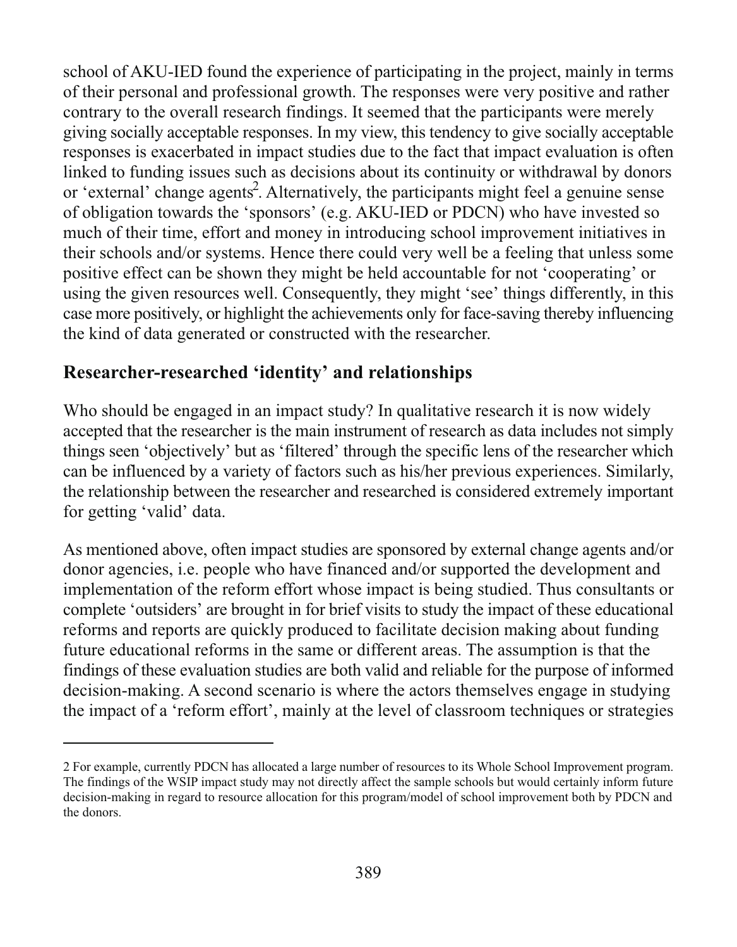school of AKU-IED found the experience of participating in the project, mainly in terms of their personal and professional growth. The responses were very positive and rather contrary to the overall research findings. It seemed that the participants were merely giving socially acceptable responses. In my view, this tendency to give socially acceptable responses is exacerbated in impact studies due to the fact that impact evaluation is often linked to funding issues such as decisions about its continuity or withdrawal by donors or 'external' change agents<sup>2</sup>. Alternatively, the participants might feel a genuine sense of obligation towards the 'sponsors' (e.g. AKU-IED or PDCN) who have invested so much of their time, effort and money in introducing school improvement initiatives in their schools and/or systems. Hence there could very well be a feeling that unless some positive effect can be shown they might be held accountable for not 'cooperating' or using the given resources well. Consequently, they might 'see' things differently, in this case more positively, or highlight the achievements only for face-saving thereby influencing the kind of data generated or constructed with the researcher.

#### Researcher-researched 'identity' and relationships

Who should be engaged in an impact study? In qualitative research it is now widely accepted that the researcher is the main instrument of research as data includes not simply things seen 'objectively' but as 'filtered' through the specific lens of the researcher which can be influenced by a variety of factors such as his/her previous experiences. Similarly, the relationship between the researcher and researched is considered extremely important for getting 'valid' data.

As mentioned above, often impact studies are sponsored by external change agents and/or donor agencies, i.e. people who have financed and/or supported the development and implementation of the reform effort whose impact is being studied. Thus consultants or complete 'outsiders' are brought in for brief visits to study the impact of these educational reforms and reports are quickly produced to facilitate decision making about funding future educational reforms in the same or different areas. The assumption is that the findings of these evaluation studies are both valid and reliable for the purpose of informed decision-making. A second scenario is where the actors themselves engage in studying the impact of a 'reform effort', mainly at the level of classroom techniques or strategies

<sup>2</sup> For example, currently PDCN has allocated a large number of resources to its Whole School Improvement program. The findings of the WSIP impact study may not directly affect the sample schools but would certainly inform future decision-making in regard to resource allocation for this program/model of school improvement both by PDCN and the donors.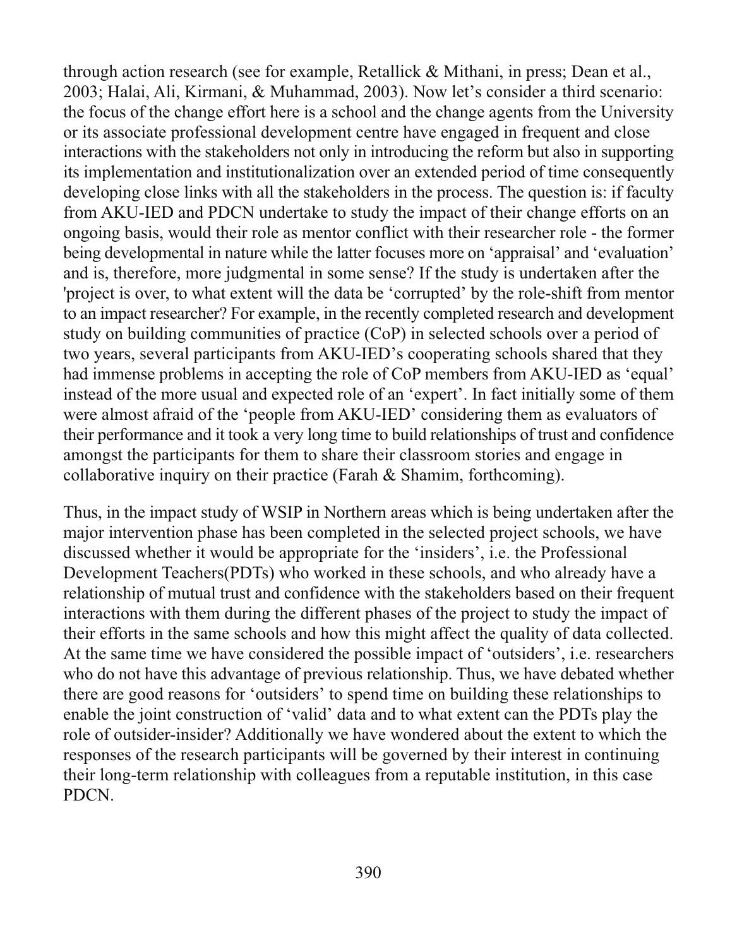through action research (see for example, Retallick & Mithani, in press; Dean et al., 2003; Halai, Ali, Kirmani, & Muhammad, 2003). Now let's consider a third scenario: the focus of the change effort here is a school and the change agents from the University or its associate professional development centre have engaged in frequent and close interactions with the stakeholders not only in introducing the reform but also in supporting its implementation and institutionalization over an extended period of time consequently developing close links with all the stakeholders in the process. The question is: if faculty from AKU-IED and PDCN undertake to study the impact of their change efforts on an ongoing basis, would their role as mentor conflict with their researcher role - the former being developmental in nature while the latter focuses more on 'appraisal' and 'evaluation' and is, therefore, more judgmental in some sense? If the study is undertaken after the project is over, to what extent will the data be 'corrupted' by the role-shift from mentor to an impact researcher? For example, in the recently completed research and development study on building communities of practice (CoP) in selected schools over a period of two years, several participants from AKU-IED's cooperating schools shared that they had immense problems in accepting the role of CoP members from AKU-IED as 'equal' instead of the more usual and expected role of an 'expert'. In fact initially some of them were almost afraid of the 'people from AKU-IED' considering them as evaluators of their performance and it took a very long time to build relationships of trust and confidence amongst the participants for them to share their classroom stories and engage in collaborative inquiry on their practice (Farah  $&$  Shamim, forthcoming).

Thus, in the impact study of WSIP in Northern areas which is being undertaken after the major intervention phase has been completed in the selected project schools, we have discussed whether it would be appropriate for the 'insiders', *i.e.* the Professional Development Teachers (PDTs) who worked in these schools, and who already have a relationship of mutual trust and confidence with the stakeholders based on their frequent interactions with them during the different phases of the project to study the impact of their efforts in the same schools and how this might affect the quality of data collected. At the same time we have considered the possible impact of 'outsiders', i.e. researchers who do not have this advantage of previous relationship. Thus, we have debated whether there are good reasons for 'outsiders' to spend time on building these relationships to enable the joint construction of 'valid' data and to what extent can the PDTs play the role of outsider-insider? Additionally we have wondered about the extent to which the responses of the research participants will be governed by their interest in continuing their long-term relationship with colleagues from a reputable institution, in this case PDCN.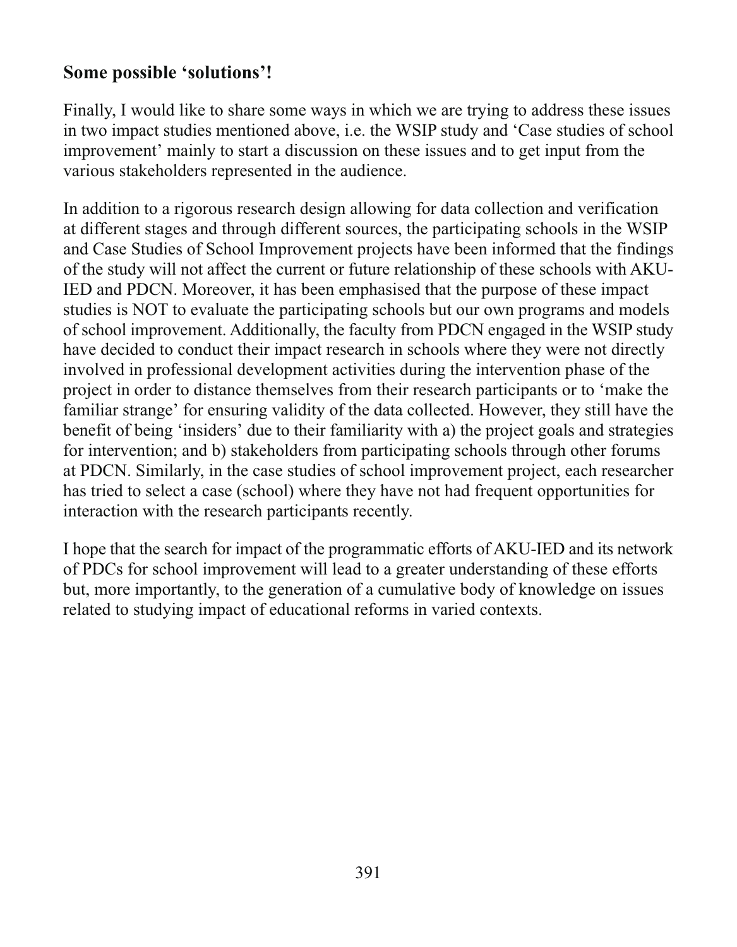### Some possible 'solutions'!

Finally, I would like to share some ways in which we are trying to address these issues in two impact studies mentioned above, i.e. the WSIP study and 'Case studies of school improvement' mainly to start a discussion on these issues and to get input from the various stakeholders represented in the audience.

In addition to a rigorous research design allowing for data collection and verification at different stages and through different sources, the participating schools in the WSIP and Case Studies of School Improvement projects have been informed that the findings of the study will not affect the current or future relationship of these schools with AKU-IED and PDCN. Moreover, it has been emphasised that the purpose of these impact studies is NOT to evaluate the participating schools but our own programs and models of school improvement. Additionally, the faculty from PDCN engaged in the WSIP study have decided to conduct their impact research in schools where they were not directly involved in professional development activities during the intervention phase of the project in order to distance themselves from their research participants or to 'make the familiar strange' for ensuring validity of the data collected. However, they still have the benefit of being 'insiders' due to their familiarity with a) the project goals and strategies for intervention; and b) stakeholders from participating schools through other forums at PDCN. Similarly, in the case studies of school improvement project, each researcher has tried to select a case (school) where they have not had frequent opportunities for interaction with the research participants recently.

I hope that the search for impact of the programmatic efforts of AKU-IED and its network of PDCs for school improvement will lead to a greater understanding of these efforts but, more importantly, to the generation of a cumulative body of knowledge on issues related to studying impact of educational reforms in varied contexts.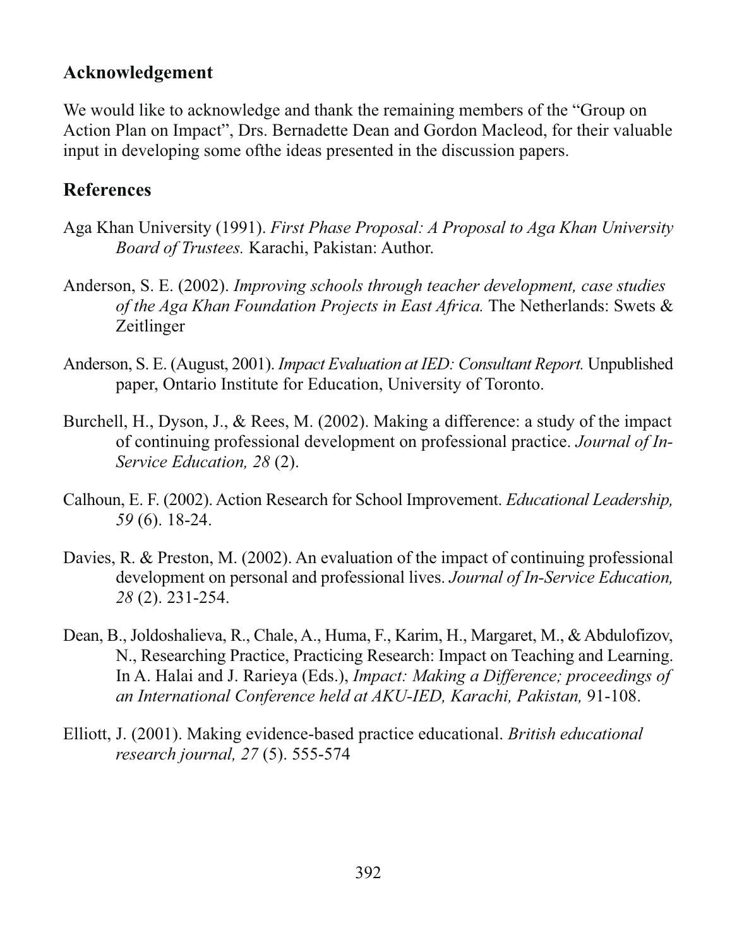#### Acknowledgement

We would like to acknowledge and thank the remaining members of the "Group on Action Plan on Impact", Drs. Bernadette Dean and Gordon Macleod, for their valuable input in developing some of the ideas presented in the discussion papers.

#### **References**

- Aga Khan University (1991). First Phase Proposal: A Proposal to Aga Khan University Board of Trustees. Karachi, Pakistan: Author.
- Anderson, S. E. (2002). Improving schools through teacher development, case studies of the Aga Khan Foundation Projects in East Africa. The Netherlands: Swets & Zeitlinger
- Anderson, S. E. (August, 2001). Impact Evaluation at IED: Consultant Report. Unpublished paper, Ontario Institute for Education, University of Toronto.
- Burchell, H., Dyson, J., & Rees, M. (2002). Making a difference: a study of the impact of continuing professional development on professional practice. Journal of In-Service Education, 28 (2).
- Calhoun, E. F. (2002). Action Research for School Improvement. *Educational Leadership*, 59 (6). 18-24.
- Davies, R. & Preston, M. (2002). An evaluation of the impact of continuing professional development on personal and professional lives. Journal of In-Service Education, 28 (2). 231-254.
- Dean, B., Joldoshalieva, R., Chale, A., Huma, F., Karim, H., Margaret, M., & Abdulofizov, N., Researching Practice, Practicing Research: Impact on Teaching and Learning. In A. Halai and J. Rarieya (Eds.), *Impact: Making a Difference; proceedings of* an International Conference held at AKU-IED, Karachi, Pakistan, 91-108.
- Elliott, J. (2001). Making evidence-based practice educational. British educational research journal, 27(5). 555-574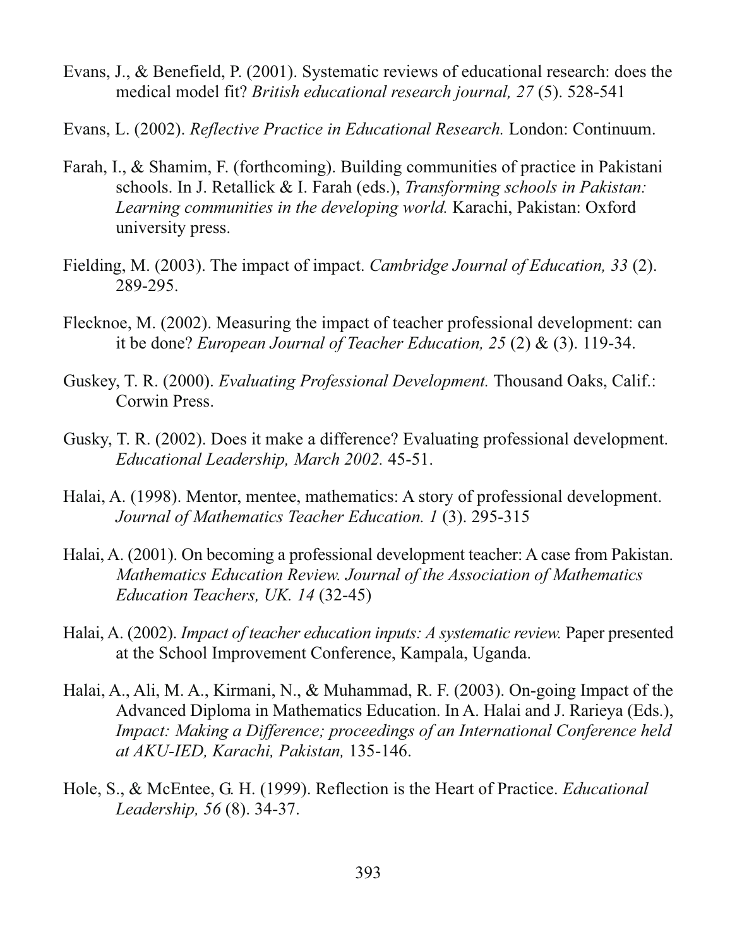- Evans, J., & Benefield, P. (2001). Systematic reviews of educational research: does the medical model fit? British educational research journal, 27(5). 528-541
- Evans, L. (2002). Reflective Practice in Educational Research. London: Continuum.
- Farah, I., & Shamim, F. (forthcoming). Building communities of practice in Pakistani schools. In J. Retallick & I. Farah (eds.), *Transforming schools in Pakistan*: Learning communities in the developing world. Karachi, Pakistan: Oxford university press.
- Fielding, M. (2003). The impact of impact. Cambridge Journal of Education, 33 (2). 289-295.
- Flecknoe, M. (2002). Measuring the impact of teacher professional development: can it be done? *European Journal of Teacher Education*,  $25(2)$  &  $(3)$ , 119-34.
- Guskey, T. R. (2000). Evaluating Professional Development. Thousand Oaks. Calif.: Corwin Press.
- Gusky, T. R. (2002). Does it make a difference? Evaluating professional development. Educational Leadership, March 2002. 45-51.
- Halai, A. (1998). Mentor, mentee, mathematics: A story of professional development. Journal of Mathematics Teacher Education. 1 (3). 295-315
- Halai, A. (2001). On becoming a professional development teacher: A case from Pakistan. Mathematics Education Review. Journal of the Association of Mathematics Education Teachers, UK. 14 (32-45)
- Halai, A. (2002). *Impact of teacher education inputs: A systematic review*. Paper presented at the School Improvement Conference, Kampala, Uganda.
- Halai, A., Ali, M. A., Kirmani, N., & Muhammad, R. F. (2003). On-going Impact of the Advanced Diploma in Mathematics Education. In A. Halai and J. Rarieya (Eds.), Impact: Making a Difference; proceedings of an International Conference held at AKU-IED, Karachi, Pakistan, 135-146.
- Hole, S., & McEntee, G. H. (1999). Reflection is the Heart of Practice. Educational Leadership, 56 (8). 34-37.